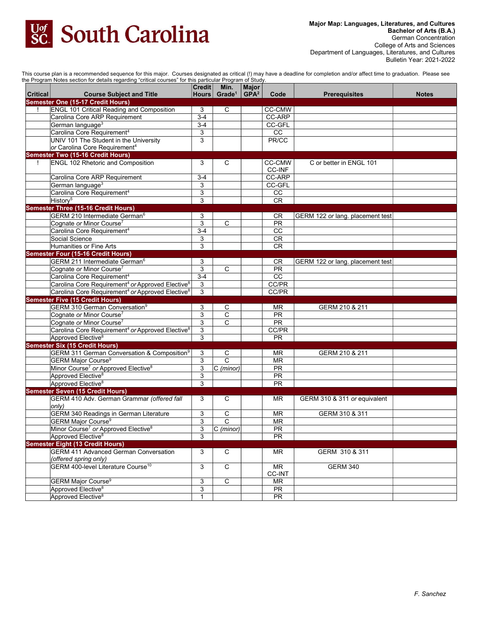

This course plan is a recommended sequence for this major. Courses designated as critical (!) may have a deadline for completion and/or affect time to graduation. Please see

|          | the Program Notes section for details regarding "critical courses" for this particular Program of Study. | $ $ Credit $ $ | Min.                     | Major            |                          |                                  |              |
|----------|----------------------------------------------------------------------------------------------------------|----------------|--------------------------|------------------|--------------------------|----------------------------------|--------------|
| Critical | <b>Course Subject and Title</b>                                                                          |                | Hours Grade <sup>1</sup> | GPA <sup>2</sup> | Code                     | <b>Prerequisites</b>             | <b>Notes</b> |
|          | Semester One (15-17 Credit Hours)                                                                        |                |                          |                  |                          |                                  |              |
|          | <b>ENGL 101 Critical Reading and Composition</b>                                                         | 3              | C                        |                  | <b>CC-CMW</b>            |                                  |              |
|          | Carolina Core ARP Requirement                                                                            | $3 - 4$        |                          |                  | <b>CC-ARP</b>            |                                  |              |
|          | German language <sup>3</sup>                                                                             | $3-4$          |                          |                  | CC-GFL                   |                                  |              |
|          | Carolina Core Requirement <sup>4</sup>                                                                   | 3              |                          |                  | CC                       |                                  |              |
|          | UNIV 101 The Student in the University                                                                   | 3              |                          |                  | PR/CC                    |                                  |              |
|          | or Carolina Core Requirement <sup>4</sup>                                                                |                |                          |                  |                          |                                  |              |
|          | <b>Semester Two (15-16 Credit Hours)</b>                                                                 |                |                          |                  |                          |                                  |              |
|          | <b>ENGL 102 Rhetoric and Composition</b>                                                                 | 3              | C                        |                  | CC-CMW                   | C or better in ENGL 101          |              |
|          |                                                                                                          |                |                          |                  | <b>CC-INF</b>            |                                  |              |
|          | Carolina Core ARP Requirement                                                                            | $3 - 4$        |                          |                  | CC-ARP                   |                                  |              |
|          | German language <sup>3</sup>                                                                             | 3              |                          |                  | CC-GFL                   |                                  |              |
|          | Carolina Core Requirement <sup>4</sup>                                                                   | 3              |                          |                  | cc                       |                                  |              |
|          | History <sup>5</sup>                                                                                     | 3              |                          |                  | CR                       |                                  |              |
|          | Semester Three (15-16 Credit Hours)                                                                      |                |                          |                  |                          |                                  |              |
|          | GERM 210 Intermediate German <sup>6</sup>                                                                | 3              |                          |                  | CR                       | GERM 122 or lang. placement test |              |
|          | Cognate or Minor Course <sup>7</sup>                                                                     | 3              | $\overline{c}$           |                  | <b>PR</b>                |                                  |              |
|          | Carolina Core Requirement <sup>4</sup>                                                                   | $3-4$          |                          |                  | cc                       |                                  |              |
|          | Social Science                                                                                           | 3              |                          |                  | CR                       |                                  |              |
|          | Humanities or Fine Arts                                                                                  | 3              |                          |                  | <b>CR</b>                |                                  |              |
|          | <b>Semester Four (15-16 Credit Hours)</b>                                                                |                |                          |                  |                          |                                  |              |
|          | GERM 211 Intermediate German <sup>6</sup>                                                                | 3              |                          |                  | CR.                      | GERM 122 or lang. placement test |              |
|          | Cognate or Minor Course <sup>7</sup>                                                                     | 3              | C                        |                  | PR                       |                                  |              |
|          | Carolina Core Requirement <sup>4</sup>                                                                   | $3-4$          |                          |                  | CC                       |                                  |              |
|          | Carolina Core Requirement <sup>4</sup> or Approved Elective <sup>8</sup>                                 | 3              |                          |                  | CC/PR                    |                                  |              |
|          | Carolina Core Requirement <sup>4</sup> or Approved Elective <sup>8</sup>                                 | 3              |                          |                  | CC/PR                    |                                  |              |
|          | <b>Semester Five (15 Credit Hours)</b>                                                                   |                |                          |                  |                          |                                  |              |
|          | GERM 310 German Conversation <sup>9</sup>                                                                | 3              | С                        |                  | ΜR                       | GERM 210 & 211                   |              |
|          | Cognate or Minor Course <sup>7</sup>                                                                     | 3              | $\mathbf C$              |                  | PR                       |                                  |              |
|          | Cognate or Minor Course <sup>7</sup>                                                                     | 3              | $\mathsf{C}$             |                  | $\overline{PR}$          |                                  |              |
|          | Carolina Core Requirement <sup>4</sup> or Approved Elective <sup>8</sup>                                 | 3              |                          |                  | CC/PR                    |                                  |              |
|          | Approved Elective <sup>8</sup>                                                                           | 3              |                          |                  | <b>PR</b>                |                                  |              |
|          | <b>Semester Six (15 Credit Hours)</b>                                                                    |                |                          |                  |                          |                                  |              |
|          | GERM 311 German Conversation & Composition <sup>9</sup>                                                  | 3              | С                        |                  | ΜR                       | GERM 210 & 211                   |              |
|          | GERM Major Course <sup>9</sup>                                                                           | 3              | $\overline{c}$           |                  | $\overline{\mathsf{MR}}$ |                                  |              |
|          | Minor Course <sup>7</sup> or Approved Elective <sup>8</sup>                                              | 3              | $ C \text{ (minor)}$     |                  | PR                       |                                  |              |
|          | Approved Elective <sup>8</sup>                                                                           | 3              |                          |                  | PR                       |                                  |              |
|          | Approved Elective <sup>8</sup>                                                                           | 3              |                          |                  | <b>PR</b>                |                                  |              |
|          | <b>Semester Seven (15 Credit Hours)</b>                                                                  |                |                          |                  |                          |                                  |              |
|          | GERM 410 Adv. German Grammar (offered fall                                                               | 3              | С                        |                  | ΜR                       | GERM 310 & 311 or equivalent     |              |
|          | only)                                                                                                    |                |                          |                  |                          |                                  |              |
|          | <b>GERM 340 Readings in German Literature</b>                                                            | 3              | С                        |                  | <b>MR</b>                | GERM 310 & 311                   |              |
|          | GERM Major Course <sup>9</sup>                                                                           | 3              | C                        |                  | <b>MR</b>                |                                  |              |
|          | Minor Course <sup>7</sup> or Approved Elective <sup>8</sup>                                              | 3              | $ C \text{ (minor)} $    |                  | PR                       |                                  |              |
|          | Approved Elective <sup>8</sup>                                                                           | 3              |                          |                  | PR                       |                                  |              |
|          | <b>Semester Eight (13 Credit Hours)</b>                                                                  |                |                          |                  |                          |                                  |              |
|          | <b>GERM 411 Advanced German Conversation</b>                                                             | 3              | С                        |                  | ΜR                       | GERM 310 & 311                   |              |
|          | (offered spring only)                                                                                    |                |                          |                  |                          |                                  |              |
|          | GERM 400-level Literature Course <sup>10</sup>                                                           | 3              | C                        |                  | <b>MR</b>                | <b>GERM 340</b>                  |              |
|          |                                                                                                          |                |                          |                  | CC-INT                   |                                  |              |
|          | <b>GERM Major Course<sup>9</sup></b>                                                                     | 3              | $\overline{C}$           |                  | MR                       |                                  |              |
|          | Approved Elective <sup>8</sup>                                                                           | 3              |                          |                  | PR                       |                                  |              |
|          | Approved Elective <sup>8</sup>                                                                           | $\mathbf{1}$   |                          |                  | <b>PR</b>                |                                  |              |